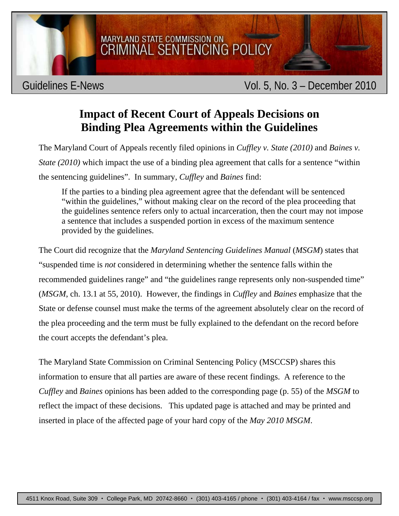

### MARYLAND STATE COMMISSION ON CRIMINAL SENTENCING POLICY

### Guidelines E-News **Vol. 5, No. 3 – December 2010**

## **Impact of Recent Court of Appeals Decisions on Binding Plea Agreements within the Guidelines**

The Maryland Court of Appeals recently filed opinions in *Cuffley v. State (2010)* and *Baines v. State (2010)* which impact the use of a binding plea agreement that calls for a sentence "within the sentencing guidelines". In summary, *Cuffley* and *Baines* find:

If the parties to a binding plea agreement agree that the defendant will be sentenced "within the guidelines," without making clear on the record of the plea proceeding that the guidelines sentence refers only to actual incarceration, then the court may not impose a sentence that includes a suspended portion in excess of the maximum sentence provided by the guidelines.

The Court did recognize that the *Maryland Sentencing Guidelines Manual* (*MSGM*) states that "suspended time is *not* considered in determining whether the sentence falls within the recommended guidelines range" and "the guidelines range represents only non-suspended time" (*MSGM*, ch. 13.1 at 55, 2010). However, the findings in *Cuffley* and *Baines* emphasize that the State or defense counsel must make the terms of the agreement absolutely clear on the record of the plea proceeding and the term must be fully explained to the defendant on the record before the court accepts the defendant's plea.

The Maryland State Commission on Criminal Sentencing Policy (MSCCSP) shares this information to ensure that all parties are aware of these recent findings. A reference to the *Cuffley* and *Baines* opinions has been added to the corresponding page (p. 55) of the *MSGM* to reflect the impact of these decisions. This updated page is attached and may be printed and inserted in place of the affected page of your hard copy of the *May 2010 MSGM*.